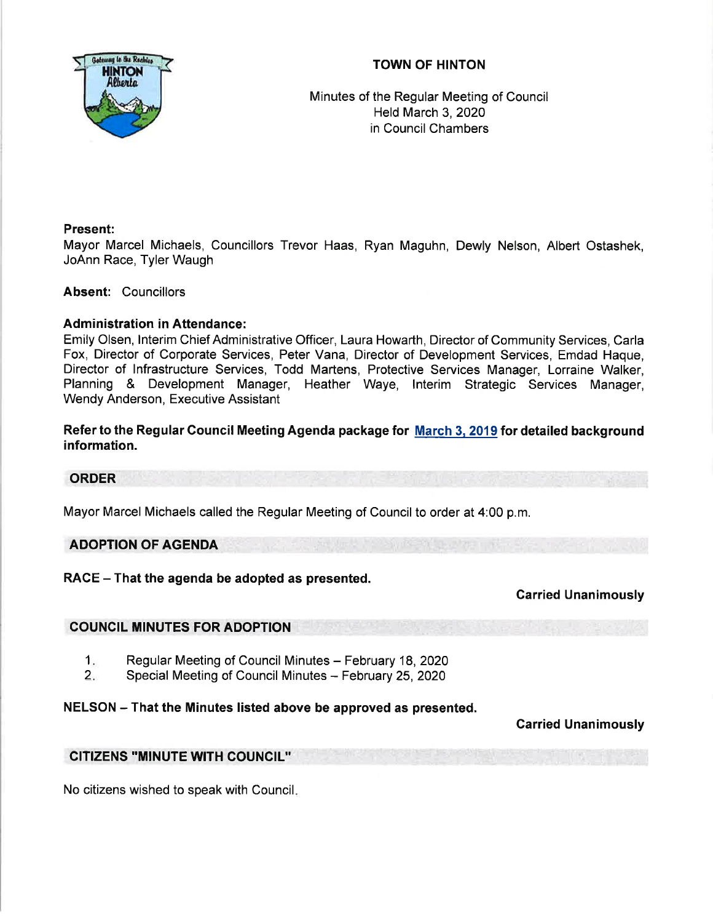# TOWN OF HINTON



Minutes of the Regular Meeting of Council Held March 3,2020 in Council Chambers

# Present:

Mayor Marcel Michaels, Councillors Trevor Haas, Ryan Maguhn, Dewly Nelson, Albert Ostashek, JoAnn Race, Tyler Waugh

# Absent: Councillors

# Administration in Attendance:

Emily Olsen, lnterim Chief Administrative Officer, Laura Howarth, Director of Community Services, Carla Fox, Director of Corporate Services, Peter Vana, Director of Development Services, Emdad Haque, Director of lnfrastructure Services, Todd Martens, Protective Services Manager, Lorraine Walker, Planning & Development Manager, Heather Waye, lnterim Strategic Services Manager, Wendy Anderson, Executive Assistant

Refer to the Regular Gouncil Meeting Agenda package for March 3. 2019 for detailed background information.

# ORDER

Mayor Marcel Michaels called the Regular Meeting of Council to order at 4:00 p.m.

# ADOPTION OF AGENDA

 $RACE - That$  the agenda be adopted as presented.

Garried Unanimously

# COUNCIL MINUTES FOR ADOPTION

- Regular Meeting of Council Minutes February 18, 2020  $1.$
- Special Meeting of Council Minutes February 25, 2020  $2.$

# NELSON - That the Minutes listed above be approved as presented.

# Carried Unanimously

# GITIZENS ''MINUTE WITH GOUNCIL''

No citizens wished to speak with Council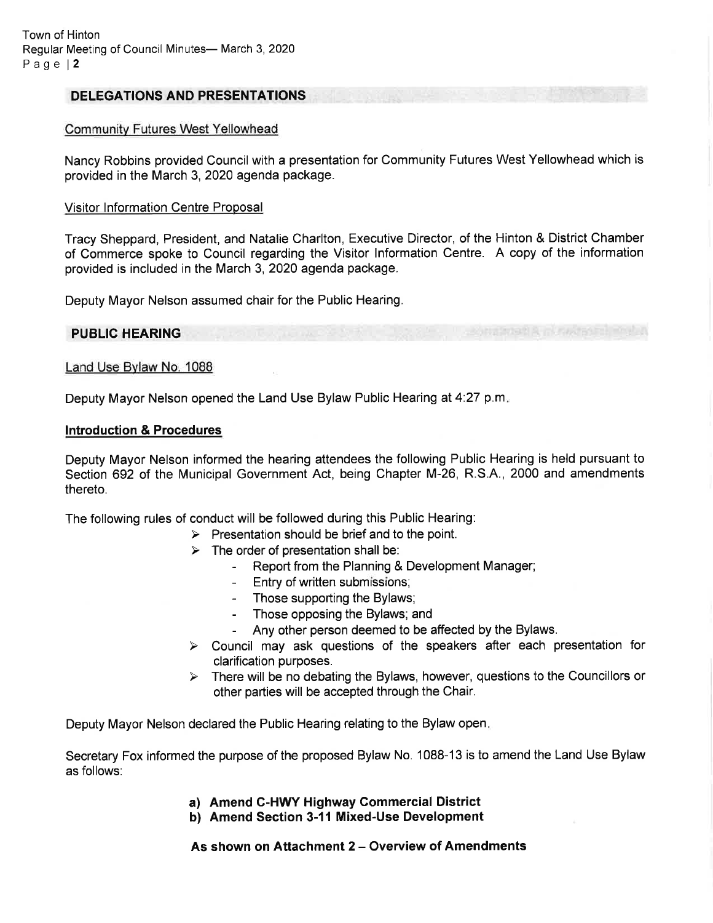### DELEGATIONS AND PRESENTATIONS

### Communitv Futures West Yellowhead

Nancy Robbins provided Council with a presentation for Community Futures West Yellowhead which is provided in the March 3,2020 agenda package.

#### Visitor Information Centre Proposal

Tracy Sheppard, President, and Natalie Charlton, Executive Director, of the Hinton & District Chamber of Commerce spoke to Council regarding the Visitor lnformation Centre. A copy of the information provided is included in the March 3,2020 agenda package.

Deputy Mayor Nelson assumed chair for the Public Hearing.

### PUBLIC HEARING

### Land Use Bvlaw No. 1088

Deputy Mayor Nelson opened the Land Use Bylaw Public Hearing at 4:27 p.m.

#### Introduction & Procedures

Deputy Mayor Nelson informed the hearing attendees the following Public Hearing is held pursuant to Section 692 of the Municipal Government Act, being Chapter M-26, R.S.A., 2000 and amendments thereto.

The following rules of conduct will be followed during this Public Hearing:

- $\triangleright$  Presentation should be brief and to the point.
	-
	- > The order of presentation shall be:<br>- Report from the Planning & Development Manager;
		- Entry of written submissions;
		- Those supporting the Bylaws;
		- Those opposing the Bylaws; and
		-
- Any other person deemed to be affected by the Bylaws.<br>
> Council may ask questions of the speakers after each presentation for clarification purposes.
- $\triangleright$  There will be no debating the Bylaws, however, questions to the Councillors or other parties will be accepted through the Chair.

Deputy Mayor Nelson declared the Public Hearing relating to the Bylaw open

Secretary Fox informed the purpose of the proposed Bylaw No. 1088-13 is to amend the Land Use Bylaw as follows:

- a) Amend C-HWY Highway Commercial District
- b) Amend Section 3-11 Mixed-Use Development

As shown on Attachment 2 - Overview of Amendments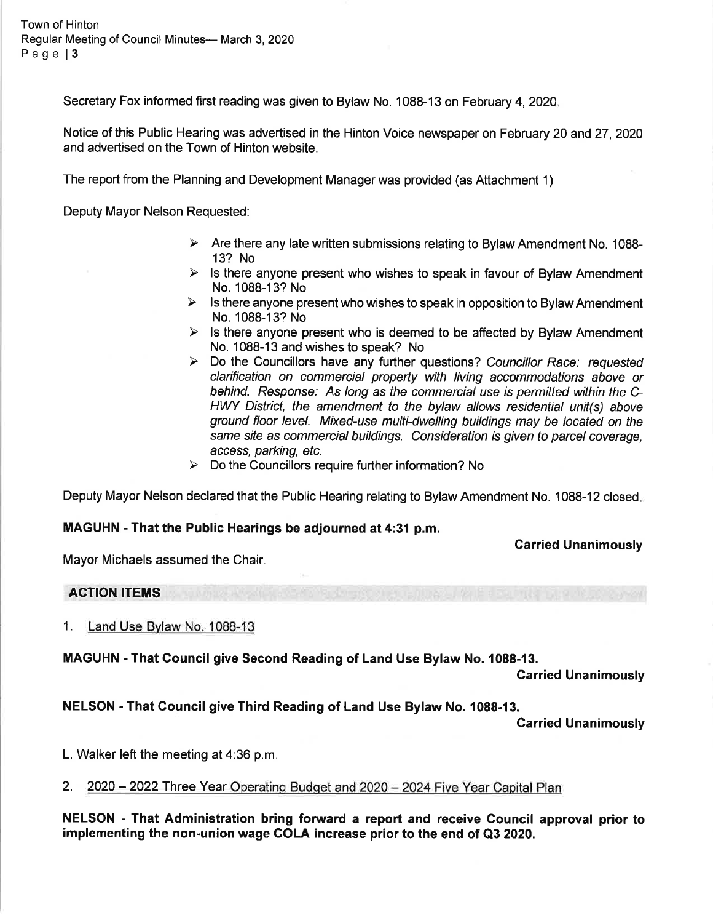Town of Hinton Regular Meeting of Council Minutes- March 3, 2020 Page | 3

Secretary Fox informed first reading was given to Bylaw No. 1088-13 on February 4, 2020.

Notice of this Public Hearing was advertised in the Hinton Voice newspaper on February 20 and 27 ,2020 and advertised on the Town of Hinton website.

The report from the Planning and Development Manager was provided (as Attachment 1)

Deputy Mayor Nelson Requested:

- $\triangleright$  Are there any late written submissions relating to Bylaw Amendment No. 1088-13? No
- $\triangleright$  Is there anyone present who wishes to speak in favour of Bylaw Amendment No. 1088-13? No
- $\triangleright$  Is there anyone present who wishes to speak in opposition to Bylaw Amendment No. 1088-13? No
- $\triangleright$  Is there anyone present who is deemed to be affected by Bylaw Amendment No. 1088-13 and wishes to speak? No
- $\triangleright$  Do the Councillors have any further questions? Councillor Race: requested clarification on commercial property with living accommodations above or behind. Response: As long as the commercial use is permitted within the C-HWY District, the amendment to the bylaw allows residential unit(s) above ground floor level. Mixed-use multi-dwelling buildings may be located on the same site as commercial buildings. Consideration is given to parcel coverage, access, parking, etc.
- $\triangleright$  Do the Councillors require further information? No

Deputy Mayor Nelson declared that the Public Hearing relating to Bylaw Amendment No. 1088-12 closed

#### MAGUHN - That the Public Hearings be adjourned at 4:31 p.m.

Carried Unanimously

Mayor Michaels assumed the Chair.

### ACTION ITEMS

1. Land Use Bvlaw No. 1088-13

### MAGUHN - That Council give Second Reading of Land Use Bylaw No. 1088-13.

Garried Unanimously

NELSON - That Gouncil give Third Reading of Land Use Bylaw No. 1088-13.

Carried Unanimously

L. Walker left the meeting at 4:36 p.m.

2. 2020 - 2022 Three Year Operating Budget and 2020 - 2024 Five Year Capital Plan

NELSON - That Administration bring forward a report and receive Gouncil approval prior to implementing the non-union wage COLA increase prior to the end of Q3 2020.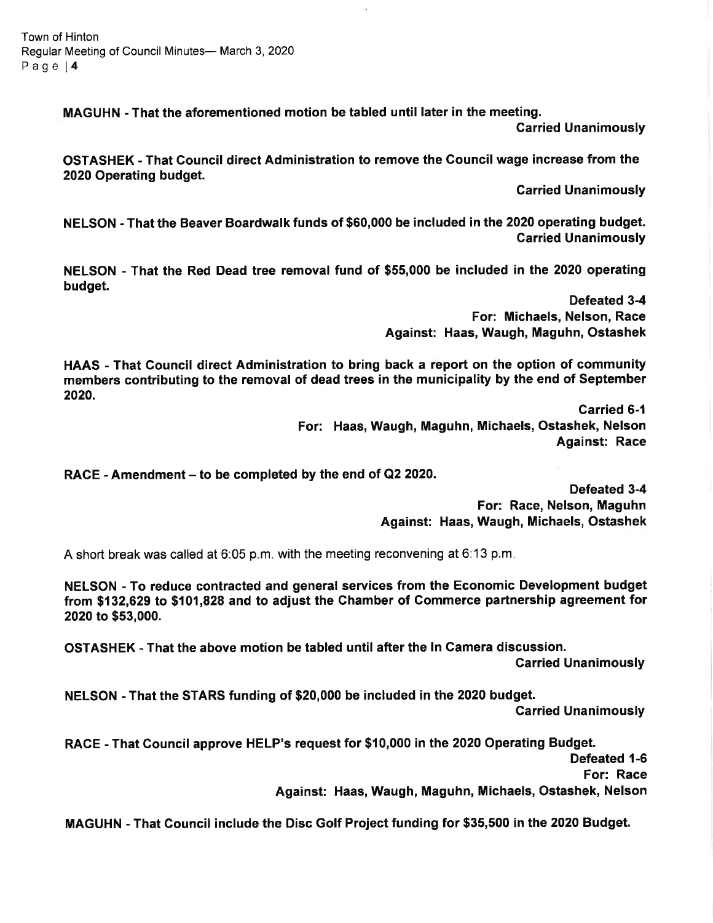MAGUHN - That the aforementioned motion be tabled until later in the meeting.

Garried Unanimously

OSTASHEK - That Gouncil direct Administration to remove the Council wage increase from the 2020 Operating budget.

Garried Unanimously

NELSON - That the Beaver Boardwalk funds of \$60,000 be included in the 2020 operating budget. Garried Unanimously

NELSON - That the Red Dead tree removal fund of \$55,000 be included in the 2020 operating budget.

> Defeated 3-4 For: Michaels, Nelson, Race Against: Haas, Waugh, Maguhn, Ostashek

HAAS - That Gouncil direct Administration to bring back a report on the option of community members contributing to the removal of dead trees in the municipality by the end of September 2020.

> Carried 6-1 For: Haas, Waugh, Maguhn, Michaels, Ostashek, Nelson Against: Race

RACE - Amendment – to be completed by the end of Q2 2020.

Defeated 3-4 For: Race, Nelson, Maguhn Against: Haas, Waugh, Michaels, Ostashek

A short break was called at 6:05 p.m. with the meeting reconvening at 6:13 p.m

NELSON - To reduce contracted and general services from the Economic Development budget from \$132,629 to \$101,828 and to adjust the Chamber of Commerce partnership agreement for 2020 to \$53,000.

OSTASHEK - That the above motion be tabled until after the ln Gamera discussion.

Garried Unanimously

NELSON - That the STARS funding of \$20,000 be included in the 2020 budget.

Garried Unanimously

RACE - That Gouncil approve HELP's request for \$10,000 in the 2020 Operating Budget.

Defeated 1-6

For: Race

Against: Haas, Waugh, Maguhn, Michaels, Ostashek, Nelson

MAGUHN - That Council include the Disc Golf Project funding for \$35,500 in the 2020 Budget.